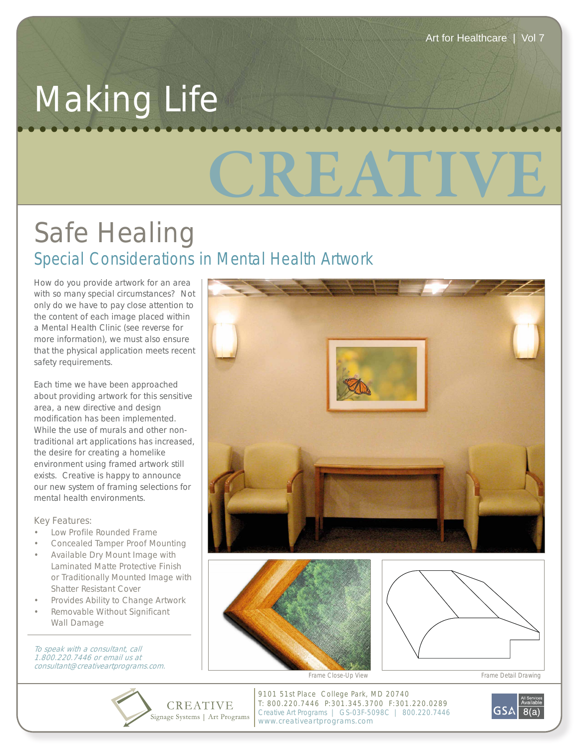## **CREATIVE** Making Life

## Safe Healing *Special Considerations in Mental Health Artwork*

How do you provide artwork for an area with so many special circumstances? Not only do we have to pay close attention to the content of each image placed within a Mental Health Clinic (see reverse for more information), we must also ensure that the physical application meets recent safety requirements.

Each time we have been approached about providing artwork for this sensitive area, a new directive and design modification has been implemented. While the use of murals and other nontraditional art applications has increased, the desire for creating a homelike environment using framed artwork still exists. Creative is happy to announce our new system of framing selections for mental health environments.

Key Features:

- Low Profile Rounded Frame
- Concealed Tamper Proof Mounting
- Available Dry Mount Image with Laminated Matte Protective Finish or Traditionally Mounted Image with Shatter Resistant Cover
- Provides Ability to Change Artwork
- Removable Without Significant Wall Damage

To speak with a consultant, call 1.800.220.7446 or email us at consultant@creativeartprograms.com.







*Frame Close-Up View Frame Detail Drawing*

**CREATIVE** Signage Systems | Art Programs

9101 51st Place College Park, MD 20740 T: 800.220.7446 P:301.345.3700 F:301.220.0289 Creative Art Programs | GS-03F-5098C | 800.220.7446 www.creativeartprograms.com